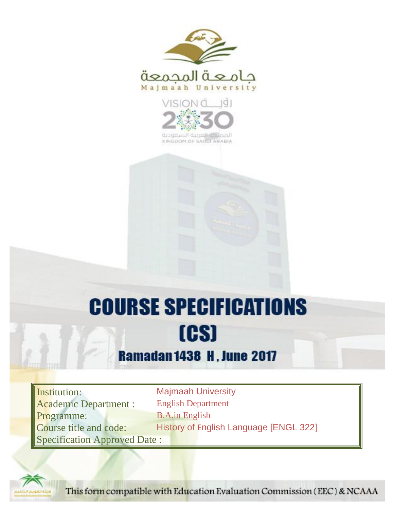



KINGDOM OF SAUDI ARABIA

# **COURSE SPECIFICATIONS** [CS]

### **Ramadan 1438 H, June 2017**

**Institution:** Majmaah University Academic Department : English Department Programme: B.A.in English Specification Approved Date :

Course title and code: History of English Language [ENGL 322]



This form compatible with Education Evaluation Commission (EEC) & NCAAA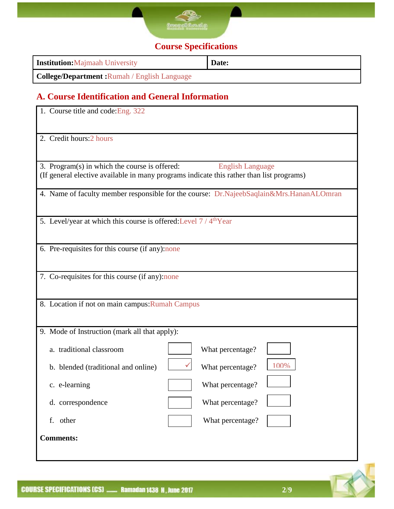

#### **Course Specifications**

| <b>Institution:</b> Majmaah University              | Date: |
|-----------------------------------------------------|-------|
| <b>College/Department:</b> Rumah / English Language |       |

#### **A. Course Identification and General Information**

| 1. Course title and code: Eng. 322                                            |                                                                                                                     |  |  |  |  |
|-------------------------------------------------------------------------------|---------------------------------------------------------------------------------------------------------------------|--|--|--|--|
| 2. Credit hours: 2 hours                                                      |                                                                                                                     |  |  |  |  |
| 3. Program(s) in which the course is offered:                                 | <b>English Language</b><br>(If general elective available in many programs indicate this rather than list programs) |  |  |  |  |
|                                                                               | 4. Name of faculty member responsible for the course: Dr.NajeebSaqlain&Mrs.HananALOmran                             |  |  |  |  |
| 5. Level/year at which this course is offered: Level 7 / 4 <sup>th</sup> Year |                                                                                                                     |  |  |  |  |
| 6. Pre-requisites for this course (if any):none                               |                                                                                                                     |  |  |  |  |
| 7. Co-requisites for this course (if any):none                                |                                                                                                                     |  |  |  |  |
| 8. Location if not on main campus: Rumah Campus                               |                                                                                                                     |  |  |  |  |
| 9. Mode of Instruction (mark all that apply):                                 |                                                                                                                     |  |  |  |  |
| a. traditional classroom                                                      | What percentage?                                                                                                    |  |  |  |  |
| b. blended (traditional and online)                                           | 100%<br>What percentage?                                                                                            |  |  |  |  |
| c. e-learning                                                                 | What percentage?                                                                                                    |  |  |  |  |
| d. correspondence                                                             | What percentage?                                                                                                    |  |  |  |  |
| f. other                                                                      | What percentage?                                                                                                    |  |  |  |  |
| <b>Comments:</b>                                                              |                                                                                                                     |  |  |  |  |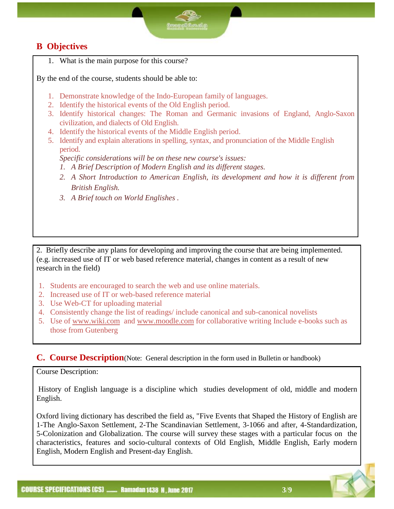#### **B Objectives**

1. What is the main purpose for this course?

By the end of the course, students should be able to:

- 1. Demonstrate knowledge of the Indo-European family of languages.
- 2. Identify the historical events of the Old English period.
- 3. Identify historical changes: The Roman and Germanic invasions of England, Anglo-Saxon civilization, and dialects of Old English.
- 4. Identify the historical events of the Middle English period.
- 5. Identify and explain alterations in spelling, syntax, and pronunciation of the Middle English period.

*Specific considerations will be on these new course's issues: 1. A Brief Description of Modern English and its different stages.*

- *2. A Short Introduction to American English, its development and how it is different from British English.*
- *3. A Brief touch on World Englishes .*

2. Briefly describe any plans for developing and improving the course that are being implemented. (e.g. increased use of IT or web based reference material, changes in content as a result of new research in the field)

- 1. Students are encouraged to search the web and use online materials.
- 2. Increased use of IT or web-based reference material
- 3. Use Web-CT for uploading material
- 4. Consistently change the list of readings/ include canonical and sub-canonical novelists
- 5. Use of [www.wiki.com](http://www.wiki.com/) and [www.moodle.com](http://www.moodle.com/) for collaborative writing Include e-books such as those from Gutenberg

#### **C. Course Description**(Note: General description in the form used in Bulletin or handbook)

Course Description:

History of English language is a discipline which studies development of old, middle and modern English.

Oxford living dictionary has described the field as, "Five Events that Shaped the History of English are 1-The Anglo-Saxon Settlement, 2-The Scandinavian Settlement, 3-1066 and after, 4-Standardization, 5-Colonization and Globalization. The course will survey these stages with a particular focus on the characteristics, features and socio-cultural contexts of Old English, Middle English, Early modern English, Modern English and Present-day English.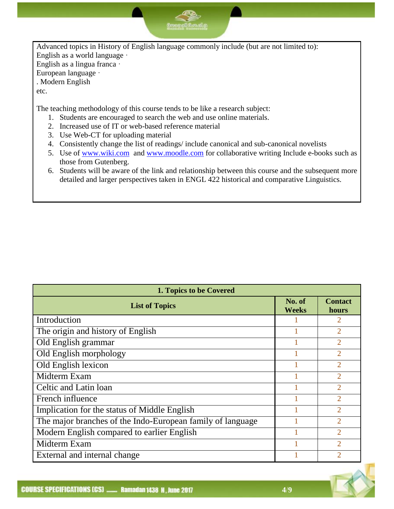Advanced topics in History of English language commonly include (but are not limited to): English as a world language · English as a lingua franca · European language · . Modern English

<u>|கேகிந</u>

etc.

The teaching methodology of this course tends to be like a research subject:

- 1. Students are encouraged to search the web and use online materials.
- 2. Increased use of IT or web-based reference material
- 3. Use Web-CT for uploading material
- 4. Consistently change the list of readings/ include canonical and sub-canonical novelists
- 5. Use of [www.wiki.com](http://www.wiki.com/) and [www.moodle.com](http://www.moodle.com/) for collaborative writing Include e-books such as those from Gutenberg.
- 6. Students will be aware of the link and relationship between this course and the subsequent more detailed and larger perspectives taken in ENGL 422 historical and comparative Linguistics.

| 1. Topics to be Covered                                    |                        |                             |  |  |
|------------------------------------------------------------|------------------------|-----------------------------|--|--|
| <b>List of Topics</b>                                      | No. of<br><b>Weeks</b> | <b>Contact</b><br>hours     |  |  |
| Introduction                                               |                        | 2                           |  |  |
| The origin and history of English                          |                        | $\mathfrak{D}$              |  |  |
| Old English grammar                                        |                        | $\mathfrak{D}$              |  |  |
| Old English morphology                                     |                        | $\mathfrak{D}$              |  |  |
| Old English lexicon                                        |                        | $\overline{2}$              |  |  |
| Midterm Exam                                               |                        | $\mathfrak{D}$              |  |  |
| Celtic and Latin loan                                      |                        | $\mathcal{D}$               |  |  |
| French influence                                           |                        | $\overline{2}$              |  |  |
| Implication for the status of Middle English               |                        | $\mathcal{D}_{\mathcal{A}}$ |  |  |
| The major branches of the Indo-European family of language |                        | $\mathfrak{D}$              |  |  |
| Modern English compared to earlier English                 |                        | $\overline{2}$              |  |  |
| Midterm Exam                                               |                        | $\mathcal{D}_{\mathcal{A}}$ |  |  |
| External and internal change                               |                        |                             |  |  |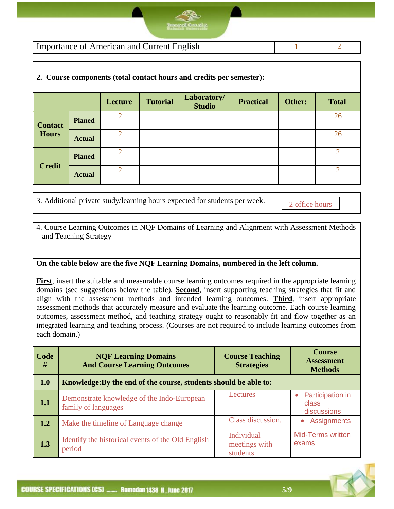Importance of American and Current English 1 2

#### **2. Course components (total contact hours and credits per semester):**

|                |               | Lecture                     | <b>Tutorial</b> | Laboratory/<br><b>Studio</b> | <b>Practical</b> | Other: | <b>Total</b>   |
|----------------|---------------|-----------------------------|-----------------|------------------------------|------------------|--------|----------------|
| <b>Contact</b> | <b>Planed</b> | $\mathcal{D}_{\mathcal{L}}$ |                 |                              |                  |        | 26             |
| <b>Hours</b>   | <b>Actual</b> | റ                           |                 |                              |                  |        | 26             |
|                | <b>Planed</b> | $\overline{2}$              |                 |                              |                  |        | $\overline{2}$ |
| <b>Credit</b>  | <b>Actual</b> | $\mathcal{D}$               |                 |                              |                  |        | $\overline{2}$ |

3. Additional private study/learning hours expected for students per week.

2 office hours

4. Course Learning Outcomes in NQF Domains of Learning and Alignment with Assessment Methods and Teaching Strategy

#### **On the table below are the five NQF Learning Domains, numbered in the left column.**

**First**, insert the suitable and measurable course learning outcomes required in the appropriate learning domains (see suggestions below the table). **Second**, insert supporting teaching strategies that fit and align with the assessment methods and intended learning outcomes. **Third**, insert appropriate assessment methods that accurately measure and evaluate the learning outcome. Each course learning outcomes, assessment method, and teaching strategy ought to reasonably fit and flow together as an integrated learning and teaching process. (Courses are not required to include learning outcomes from each domain.)

| Code<br># | <b>NOF Learning Domains</b><br><b>And Course Learning Outcomes</b> | <b>Course Teaching</b><br><b>Strategies</b> | <b>Course</b><br><b>Assessment</b><br><b>Methods</b> |  |  |
|-----------|--------------------------------------------------------------------|---------------------------------------------|------------------------------------------------------|--|--|
| 1.0       | Knowledge: By the end of the course, students should be able to:   |                                             |                                                      |  |  |
| 1.1       | Demonstrate knowledge of the Indo-European<br>family of languages  | Lectures                                    | Participation in<br>class<br>discussions             |  |  |
| 1.2       | Make the timeline of Language change                               | Class discussion.                           | Assignments<br>$\bullet$                             |  |  |
| 1.3       | Identify the historical events of the Old English<br>period        | Individual<br>meetings with<br>students.    | <b>Mid-Terms written</b><br>exams                    |  |  |



**5**/**9**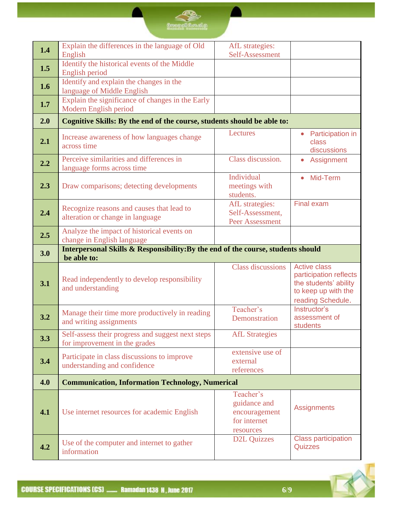## **SALE**

| 1.4 | Explain the differences in the language of Old<br>English                          | AfL strategies:<br>Self-Assessment                                                            |                                                                                                                    |
|-----|------------------------------------------------------------------------------------|-----------------------------------------------------------------------------------------------|--------------------------------------------------------------------------------------------------------------------|
| 1.5 | Identify the historical events of the Middle<br>English period                     |                                                                                               |                                                                                                                    |
| 1.6 | Identify and explain the changes in the<br>language of Middle English              |                                                                                               |                                                                                                                    |
| 1.7 | Explain the significance of changes in the Early<br>Modern English period          |                                                                                               |                                                                                                                    |
| 2.0 | Cognitive Skills: By the end of the course, students should be able to:            |                                                                                               |                                                                                                                    |
| 2.1 | Increase awareness of how languages change<br>across time                          | Lectures                                                                                      | <b>Participation in</b><br>class<br>discussions                                                                    |
| 2.2 | Perceive similarities and differences in<br>language forms across time             | Class discussion.                                                                             | Assignment<br>$\bullet$                                                                                            |
| 2.3 | Draw comparisons; detecting developments                                           | Individual<br>meetings with<br>students.                                                      | Mid-Term                                                                                                           |
| 2.4 | Recognize reasons and causes that lead to<br>alteration or change in language      | AfL strategies:<br>Self-Assessment,<br>Peer Assessment                                        | <b>Final exam</b>                                                                                                  |
| 2.5 | Analyze the impact of historical events on<br>change in English language           |                                                                                               |                                                                                                                    |
|     | Interpersonal Skills & Responsibility: By the end of the course, students should   |                                                                                               |                                                                                                                    |
| 3.0 | be able to:                                                                        |                                                                                               |                                                                                                                    |
| 3.1 | Read independently to develop responsibility<br>and understanding                  | <b>Class discussions</b>                                                                      | <b>Active class</b><br>participation reflects<br>the students' ability<br>to keep up with the<br>reading Schedule. |
| 3.2 | Manage their time more productively in reading<br>and writing assignments          | Teacher's<br>Demonstration                                                                    | Instructor's<br>assessment of<br>students                                                                          |
| 3.3 | Self-assess their progress and suggest next steps<br>for improvement in the grades | <b>AfL</b> Strategies                                                                         |                                                                                                                    |
| 3.4 | Participate in class discussions to improve<br>understanding and confidence        | extensive use of<br>external<br>references                                                    |                                                                                                                    |
| 4.0 | <b>Communication, Information Technology, Numerical</b>                            |                                                                                               |                                                                                                                    |
| 4.1 | Use internet resources for academic English                                        | Teacher's<br>guidance and<br>encouragement<br>for internet<br>resources<br><b>D2L Quizzes</b> | <b>Assignments</b>                                                                                                 |

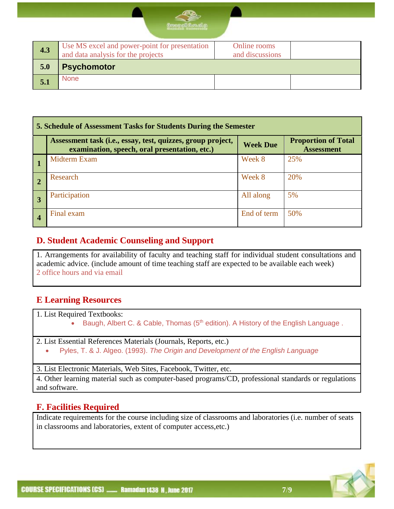

| Use MS excel and power-point for presentation<br>Online rooms<br>4.3<br>and data analysis for the projects<br>and discussions |  |
|-------------------------------------------------------------------------------------------------------------------------------|--|
| <b>Psychomotor</b><br>5.0                                                                                                     |  |
| <b>None</b><br>5.1                                                                                                            |  |

| 5. Schedule of Assessment Tasks for Students During the Semester |                                                                                                              |                 |                                                 |  |  |
|------------------------------------------------------------------|--------------------------------------------------------------------------------------------------------------|-----------------|-------------------------------------------------|--|--|
|                                                                  | Assessment task (i.e., essay, test, quizzes, group project,<br>examination, speech, oral presentation, etc.) | <b>Week Due</b> | <b>Proportion of Total</b><br><b>Assessment</b> |  |  |
|                                                                  | Midterm Exam                                                                                                 | Week 8          | 25%                                             |  |  |
| $\sqrt{2}$                                                       | Research                                                                                                     | Week 8          | 20%                                             |  |  |
|                                                                  | Participation                                                                                                | All along       | 5%                                              |  |  |
| $\overline{4}$                                                   | Final exam                                                                                                   | End of term     | 50%                                             |  |  |

#### **D. Student Academic Counseling and Support**

1. Arrangements for availability of faculty and teaching staff for individual student consultations and academic advice. (include amount of time teaching staff are expected to be available each week) 2 office hours and via email

#### **E Learning Resources**

1. List Required Textbooks:

- Baugh, Albert C. & Cable, Thomas  $(5<sup>th</sup>$  edition). A History of the English Language.
- 2. List Essential References Materials (Journals, Reports, etc.)
	- Pyles, T. & J. Algeo. (1993). *The Origin and Development of the English Language*

3. List Electronic Materials, Web Sites, Facebook, Twitter, etc.

4. Other learning material such as computer-based programs/CD, professional standards or regulations and software.

#### **F. Facilities Required**

Indicate requirements for the course including size of classrooms and laboratories (i.e. number of seats in classrooms and laboratories, extent of computer access,etc.)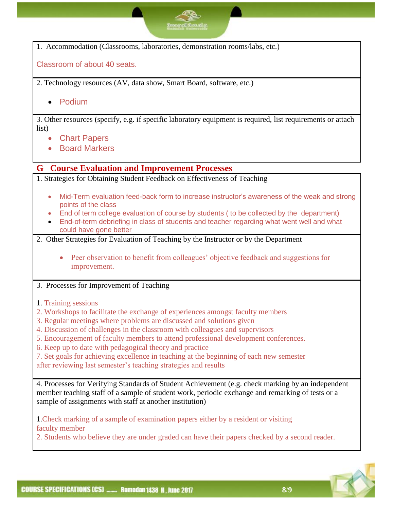1. Accommodation (Classrooms, laboratories, demonstration rooms/labs, etc.) Classroom of about 40 seats. 2. Technology resources (AV, data show, Smart Board, software, etc.) Podium 3. Other resources (specify, e.g. if specific laboratory equipment is required, list requirements or attach list) Chart Papers **• Board Markers G Course Evaluation and Improvement Processes** 1. Strategies for Obtaining Student Feedback on Effectiveness of Teaching Mid-Term evaluation feed-back form to increase instructor's awareness of the weak and strong points of the class End of term college evaluation of course by students ( to be collected by the department) End-of-term debriefing in class of students and teacher regarding what went well and what could have gone better 2. Other Strategies for Evaluation of Teaching by the Instructor or by the Department • Peer observation to benefit from colleagues' objective feedback and suggestions for improvement. 3. Processes for Improvement of Teaching 1. Training sessions 2. Workshops to facilitate the exchange of experiences amongst faculty members 3. Regular meetings where problems are discussed and solutions given 4. Discussion of challenges in the classroom with colleagues and supervisors 5. Encouragement of faculty members to attend professional development conferences. 6. Keep up to date with pedagogical theory and practice 7. Set goals for achieving excellence in teaching at the beginning of each new semester after reviewing last semester's teaching strategies and results 4. Processes for Verifying Standards of Student Achievement (e.g. check marking by an independent member teaching staff of a sample of student work, periodic exchange and remarking of tests or a sample of assignments with staff at another institution) 1.Check marking of a sample of examination papers either by a resident or visiting faculty member 2. Students who believe they are under graded can have their papers checked by a second reader.